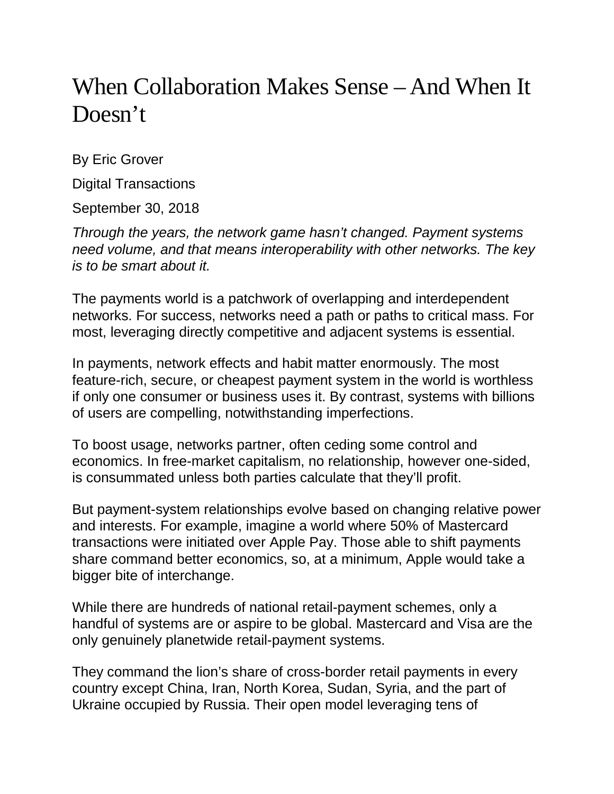# When Collaboration Makes Sense – And When It Doesn't

By Eric Grover

Digital Transactions

September 30, 2018

*Through the years, the network game hasn't changed. Payment systems need volume, and that means interoperability with other networks. The key is to be smart about it.*

The payments world is a patchwork of overlapping and interdependent networks. For success, networks need a path or paths to critical mass. For most, leveraging directly competitive and adjacent systems is essential.

In payments, network effects and habit matter enormously. The most feature-rich, secure, or cheapest payment system in the world is worthless if only one consumer or business uses it. By contrast, systems with billions of users are compelling, notwithstanding imperfections.

To boost usage, networks partner, often ceding some control and economics. In free-market capitalism, no relationship, however one-sided, is consummated unless both parties calculate that they'll profit.

But payment-system relationships evolve based on changing relative power and interests. For example, imagine a world where 50% of Mastercard transactions were initiated over Apple Pay. Those able to shift payments share command better economics, so, at a minimum, Apple would take a bigger bite of interchange.

While there are hundreds of national retail-payment schemes, only a handful of systems are or aspire to be global. Mastercard and Visa are the only genuinely planetwide retail-payment systems.

They command the lion's share of cross-border retail payments in every country except China, Iran, North Korea, Sudan, Syria, and the part of Ukraine occupied by Russia. Their open model leveraging tens of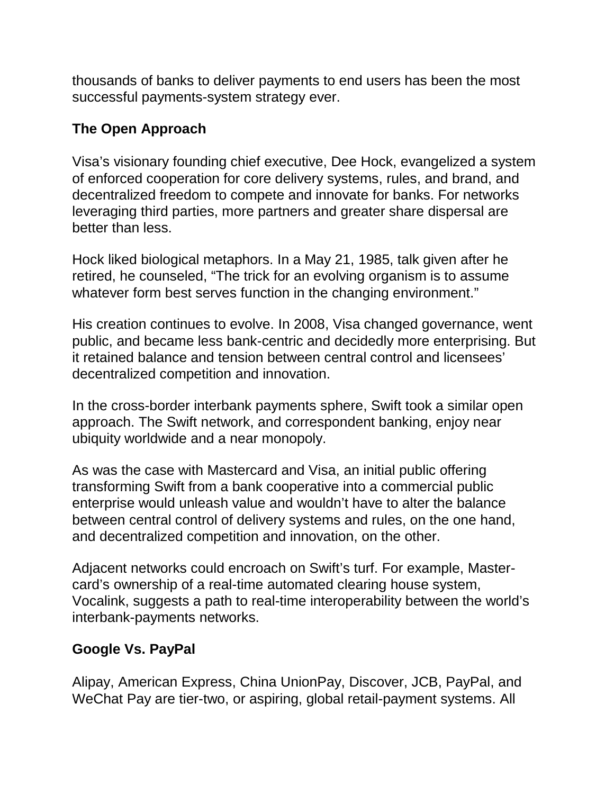thousands of banks to deliver payments to end users has been the most successful payments-system strategy ever.

## **The Open Approach**

Visa's visionary founding chief executive, Dee Hock, evangelized a system of enforced cooperation for core delivery systems, rules, and brand, and decentralized freedom to compete and innovate for banks. For networks leveraging third parties, more partners and greater share dispersal are better than less.

Hock liked biological metaphors. In a May 21, 1985, talk given after he retired, he counseled, "The trick for an evolving organism is to assume whatever form best serves function in the changing environment."

His creation continues to evolve. In 2008, Visa changed governance, went public, and became less bank-centric and decidedly more enterprising. But it retained balance and tension between central control and licensees' decentralized competition and innovation.

In the cross-border interbank payments sphere, Swift took a similar open approach. The Swift network, and correspondent banking, enjoy near ubiquity worldwide and a near monopoly.

As was the case with Mastercard and Visa, an initial public offering transforming Swift from a bank cooperative into a commercial public enterprise would unleash value and wouldn't have to alter the balance between central control of delivery systems and rules, on the one hand, and decentralized competition and innovation, on the other.

Adjacent networks could encroach on Swift's turf. For example, Mastercard's ownership of a real-time automated clearing house system, Vocalink, suggests a path to real-time interoperability between the world's interbank-payments networks.

### **Google Vs. PayPal**

Alipay, American Express, China UnionPay, Discover, JCB, PayPal, and WeChat Pay are tier-two, or aspiring, global retail-payment systems. All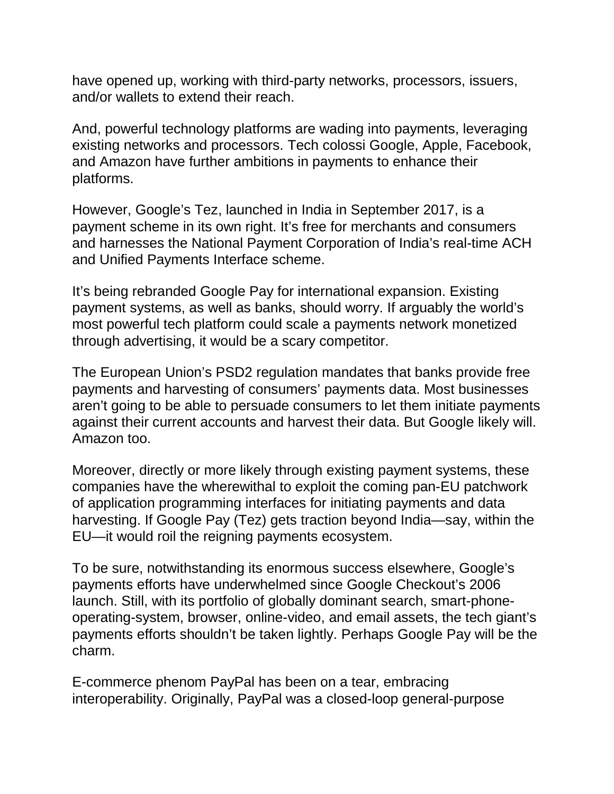have opened up, working with third-party networks, processors, issuers, and/or wallets to extend their reach.

And, powerful technology platforms are wading into payments, leveraging existing networks and processors. Tech colossi Google, Apple, Facebook, and Amazon have further ambitions in payments to enhance their platforms.

However, Google's Tez, launched in India in September 2017, is a payment scheme in its own right. It's free for merchants and consumers and harnesses the National Payment Corporation of India's real-time ACH and Unified Payments Interface scheme.

It's being rebranded Google Pay for international expansion. Existing payment systems, as well as banks, should worry. If arguably the world's most powerful tech platform could scale a payments network monetized through advertising, it would be a scary competitor.

The European Union's PSD2 regulation mandates that banks provide free payments and harvesting of consumers' payments data. Most businesses aren't going to be able to persuade consumers to let them initiate payments against their current accounts and harvest their data. But Google likely will. Amazon too.

Moreover, directly or more likely through existing payment systems, these companies have the wherewithal to exploit the coming pan-EU patchwork of application programming interfaces for initiating payments and data harvesting. If Google Pay (Tez) gets traction beyond India—say, within the EU—it would roil the reigning payments ecosystem.

To be sure, notwithstanding its enormous success elsewhere, Google's payments efforts have underwhelmed since Google Checkout's 2006 launch. Still, with its portfolio of globally dominant search, smart-phoneoperating-system, browser, online-video, and email assets, the tech giant's payments efforts shouldn't be taken lightly. Perhaps Google Pay will be the charm.

E-commerce phenom PayPal has been on a tear, embracing interoperability. Originally, PayPal was a closed-loop general-purpose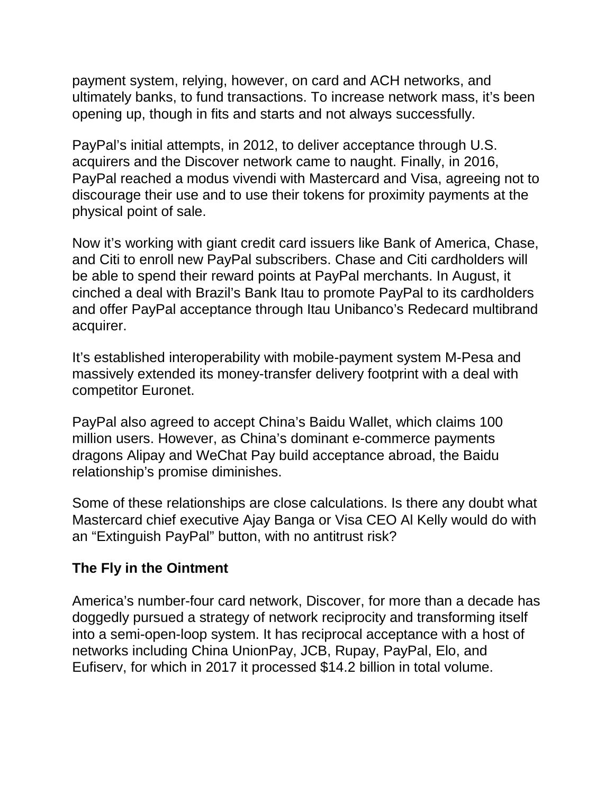payment system, relying, however, on card and ACH networks, and ultimately banks, to fund transactions. To increase network mass, it's been opening up, though in fits and starts and not always successfully.

PayPal's initial attempts, in 2012, to deliver acceptance through U.S. acquirers and the Discover network came to naught. Finally, in 2016, PayPal reached a modus vivendi with Mastercard and Visa, agreeing not to discourage their use and to use their tokens for proximity payments at the physical point of sale.

Now it's working with giant credit card issuers like Bank of America, Chase, and Citi to enroll new PayPal subscribers. Chase and Citi cardholders will be able to spend their reward points at PayPal merchants. In August, it cinched a deal with Brazil's Bank Itau to promote PayPal to its cardholders and offer PayPal acceptance through Itau Unibanco's Redecard multibrand acquirer.

It's established interoperability with mobile-payment system M-Pesa and massively extended its money-transfer delivery footprint with a deal with competitor Euronet.

PayPal also agreed to accept China's Baidu Wallet, which claims 100 million users. However, as China's dominant e-commerce payments dragons Alipay and WeChat Pay build acceptance abroad, the Baidu relationship's promise diminishes.

Some of these relationships are close calculations. Is there any doubt what Mastercard chief executive Ajay Banga or Visa CEO Al Kelly would do with an "Extinguish PayPal" button, with no antitrust risk?

#### **The Fly in the Ointment**

America's number-four card network, Discover, for more than a decade has doggedly pursued a strategy of network reciprocity and transforming itself into a semi-open-loop system. It has reciprocal acceptance with a host of networks including China UnionPay, JCB, Rupay, PayPal, Elo, and Eufiserv, for which in 2017 it processed \$14.2 billion in total volume.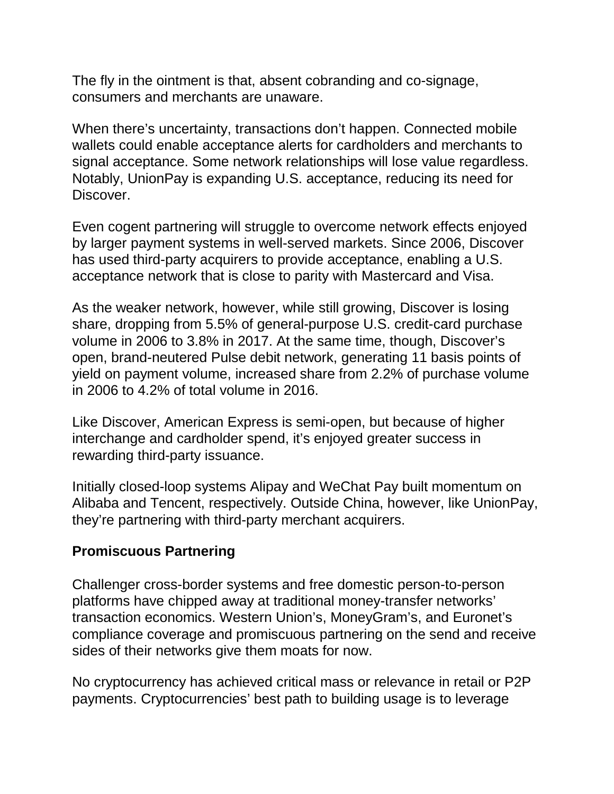The fly in the ointment is that, absent cobranding and co-signage, consumers and merchants are unaware.

When there's uncertainty, transactions don't happen. Connected mobile wallets could enable acceptance alerts for cardholders and merchants to signal acceptance. Some network relationships will lose value regardless. Notably, UnionPay is expanding U.S. acceptance, reducing its need for Discover.

Even cogent partnering will struggle to overcome network effects enjoyed by larger payment systems in well-served markets. Since 2006, Discover has used third-party acquirers to provide acceptance, enabling a U.S. acceptance network that is close to parity with Mastercard and Visa.

As the weaker network, however, while still growing, Discover is losing share, dropping from 5.5% of general-purpose U.S. credit-card purchase volume in 2006 to 3.8% in 2017. At the same time, though, Discover's open, brand-neutered Pulse debit network, generating 11 basis points of yield on payment volume, increased share from 2.2% of purchase volume in 2006 to 4.2% of total volume in 2016.

Like Discover, American Express is semi-open, but because of higher interchange and cardholder spend, it's enjoyed greater success in rewarding third-party issuance.

Initially closed-loop systems Alipay and WeChat Pay built momentum on Alibaba and Tencent, respectively. Outside China, however, like UnionPay, they're partnering with third-party merchant acquirers.

#### **Promiscuous Partnering**

Challenger cross-border systems and free domestic person-to-person platforms have chipped away at traditional money-transfer networks' transaction economics. Western Union's, MoneyGram's, and Euronet's compliance coverage and promiscuous partnering on the send and receive sides of their networks give them moats for now.

No cryptocurrency has achieved critical mass or relevance in retail or P2P payments. Cryptocurrencies' best path to building usage is to leverage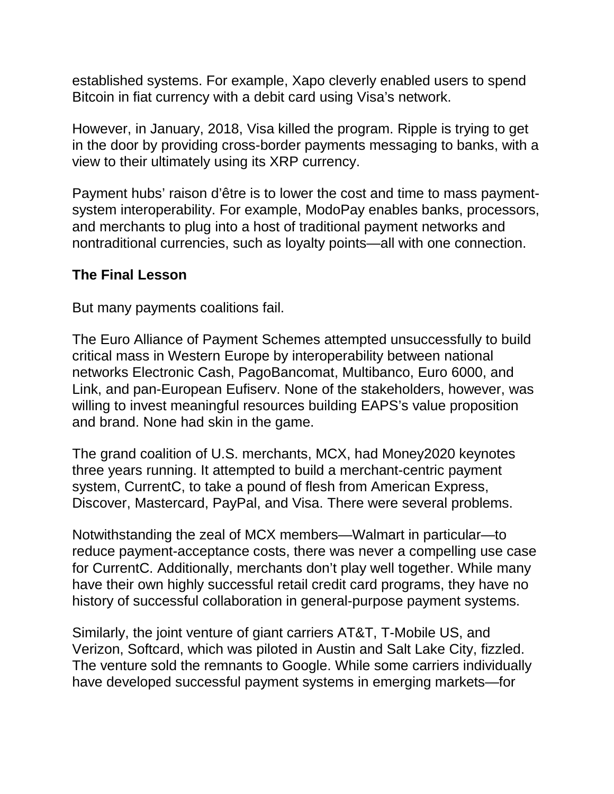established systems. For example, Xapo cleverly enabled users to spend Bitcoin in fiat currency with a debit card using Visa's network.

However, in January, 2018, Visa killed the program. Ripple is trying to get in the door by providing cross-border payments messaging to banks, with a view to their ultimately using its XRP currency.

Payment hubs' raison d'être is to lower the cost and time to mass paymentsystem interoperability. For example, ModoPay enables banks, processors, and merchants to plug into a host of traditional payment networks and nontraditional currencies, such as loyalty points—all with one connection.

#### **The Final Lesson**

But many payments coalitions fail.

The Euro Alliance of Payment Schemes attempted unsuccessfully to build critical mass in Western Europe by interoperability between national networks Electronic Cash, PagoBancomat, Multibanco, Euro 6000, and Link, and pan-European Eufiserv. None of the stakeholders, however, was willing to invest meaningful resources building EAPS's value proposition and brand. None had skin in the game.

The grand coalition of U.S. merchants, MCX, had Money2020 keynotes three years running. It attempted to build a merchant-centric payment system, CurrentC, to take a pound of flesh from American Express, Discover, Mastercard, PayPal, and Visa. There were several problems.

Notwithstanding the zeal of MCX members—Walmart in particular—to reduce payment-acceptance costs, there was never a compelling use case for CurrentC. Additionally, merchants don't play well together. While many have their own highly successful retail credit card programs, they have no history of successful collaboration in general-purpose payment systems.

Similarly, the joint venture of giant carriers AT&T, T-Mobile US, and Verizon, Softcard, which was piloted in Austin and Salt Lake City, fizzled. The venture sold the remnants to Google. While some carriers individually have developed successful payment systems in emerging markets—for